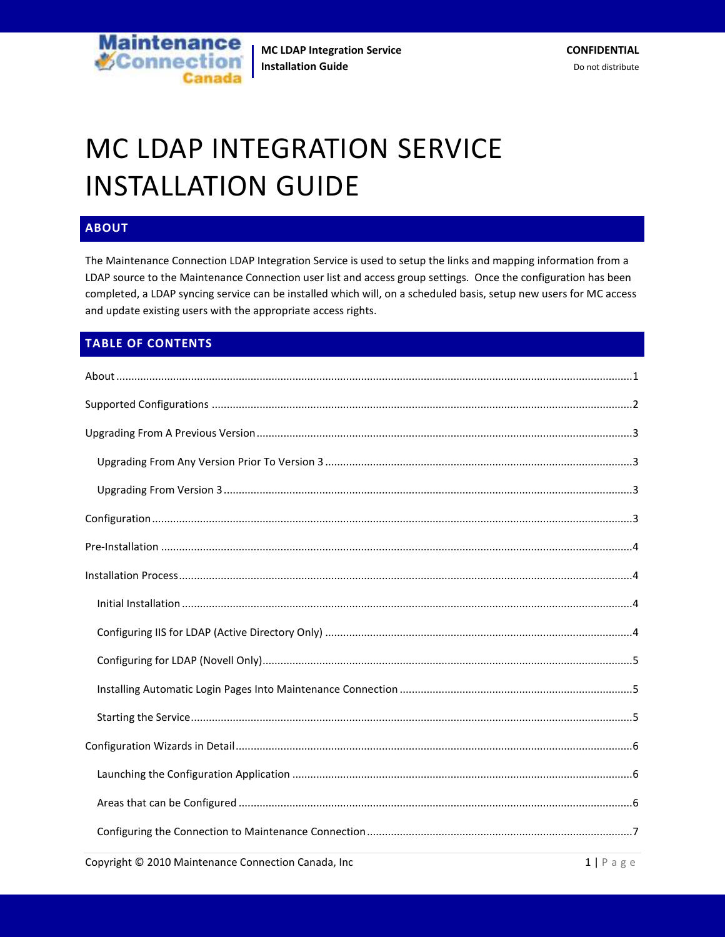

# MC LDAP INTEGRATION SERVICE INSTALLATION GUIDE

# <span id="page-0-0"></span>**ABOUT**

The Maintenance Connection LDAP Integration Service is used to setup the links and mapping information from a LDAP source to the Maintenance Connection user list and access group settings. Once the configuration has been completed, a LDAP syncing service can be installed which will, on a scheduled basis, setup new users for MC access and update existing users with the appropriate access rights.

# **TABLE OF CONTENTS**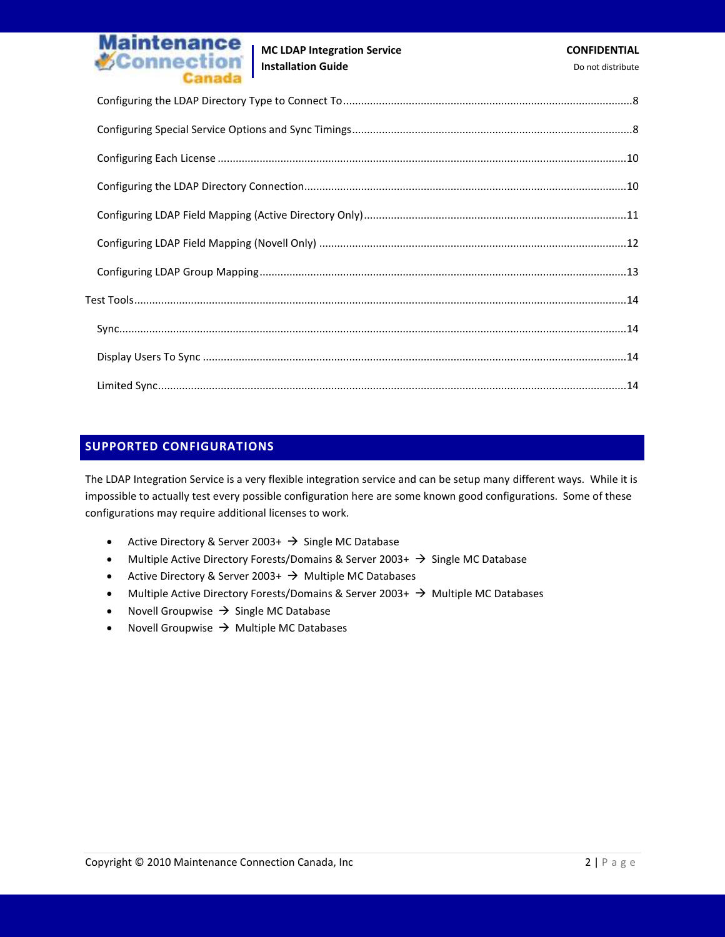

#### <span id="page-1-0"></span>**SUPPORTED CONFIGURATIONS**

The LDAP Integration Service is a very flexible integration service and can be setup many different ways. While it is impossible to actually test every possible configuration here are some known good configurations. Some of these configurations may require additional licenses to work.

- Active Directory & Server 2003+  $\rightarrow$  Single MC Database
- Multiple Active Directory Forests/Domains & Server 2003+  $\rightarrow$  Single MC Database
- Active Directory & Server 2003+  $\rightarrow$  Multiple MC Databases
- Multiple Active Directory Forests/Domains & Server 2003+  $\rightarrow$  Multiple MC Databases
- Novell Groupwise  $\rightarrow$  Single MC Database
- Novell Groupwise  $\rightarrow$  Multiple MC Databases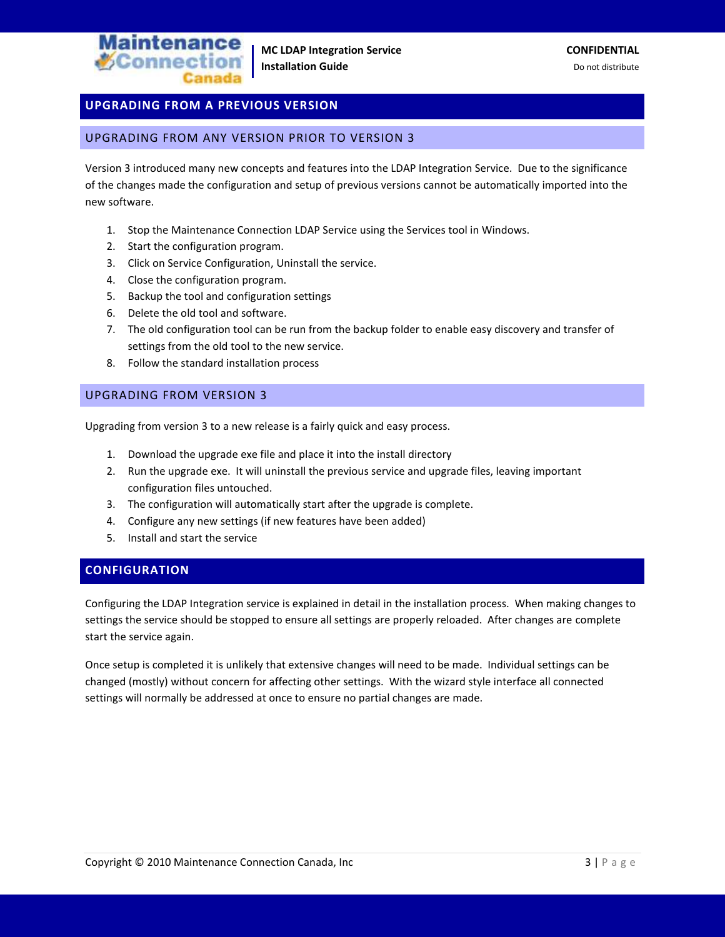

# <span id="page-2-0"></span>**UPGRADING FROM A PREVIOUS VERSION**

#### <span id="page-2-1"></span>UPGRADING FROM ANY VERSION PRIOR TO VERSION 3

Version 3 introduced many new concepts and features into the LDAP Integration Service. Due to the significance of the changes made the configuration and setup of previous versions cannot be automatically imported into the new software.

- 1. Stop the Maintenance Connection LDAP Service using the Services tool in Windows.
- 2. Start the configuration program.
- 3. Click on Service Configuration, Uninstall the service.
- 4. Close the configuration program.
- 5. Backup the tool and configuration settings
- 6. Delete the old tool and software.
- 7. The old configuration tool can be run from the backup folder to enable easy discovery and transfer of settings from the old tool to the new service.
- 8. Follow the standard installation process

#### <span id="page-2-2"></span>UPGRADING FROM VERSION 3

Upgrading from version 3 to a new release is a fairly quick and easy process.

- 1. Download the upgrade exe file and place it into the install directory
- 2. Run the upgrade exe. It will uninstall the previous service and upgrade files, leaving important configuration files untouched.
- 3. The configuration will automatically start after the upgrade is complete.
- 4. Configure any new settings (if new features have been added)
- 5. Install and start the service

#### <span id="page-2-3"></span>**CONFIGURATION**

Configuring the LDAP Integration service is explained in detail in the installation process. When making changes to settings the service should be stopped to ensure all settings are properly reloaded. After changes are complete start the service again.

Once setup is completed it is unlikely that extensive changes will need to be made. Individual settings can be changed (mostly) without concern for affecting other settings. With the wizard style interface all connected settings will normally be addressed at once to ensure no partial changes are made.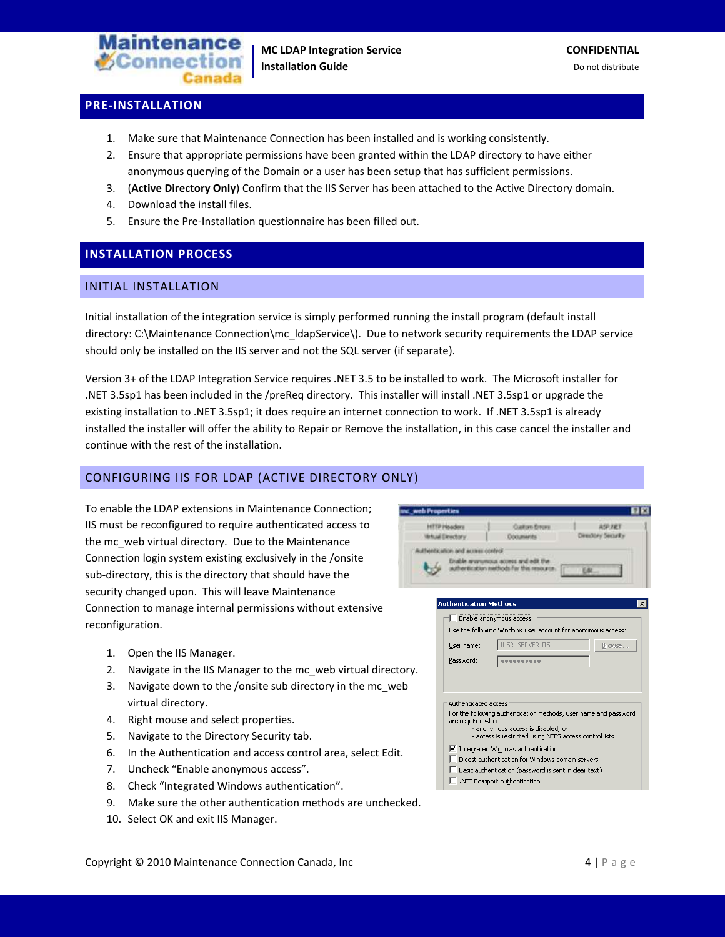

# <span id="page-3-0"></span>**PRE-INSTALLATION**

- 1. Make sure that Maintenance Connection has been installed and is working consistently.
- 2. Ensure that appropriate permissions have been granted within the LDAP directory to have either anonymous querying of the Domain or a user has been setup that has sufficient permissions.
- 3. (**Active Directory Only**) Confirm that the IIS Server has been attached to the Active Directory domain.
- 4. Download the install files.
- 5. Ensure the Pre-Installation questionnaire has been filled out.

# <span id="page-3-1"></span>**INSTALLATION PROCESS**

#### <span id="page-3-2"></span>INITIAL INSTALLATION

Initial installation of the integration service is simply performed running the install program (default install directory: C:\Maintenance Connection\mc\_ldapService\). Due to network security requirements the LDAP service should only be installed on the IIS server and not the SQL server (if separate).

Version 3+ of the LDAP Integration Service requires .NET 3.5 to be installed to work. The Microsoft installer for .NET 3.5sp1 has been included in the /preReq directory. This installer will install .NET 3.5sp1 or upgrade the existing installation to .NET 3.5sp1; it does require an internet connection to work. If .NET 3.5sp1 is already installed the installer will offer the ability to Repair or Remove the installation, in this case cancel the installer and continue with the rest of the installation.

me web Properties

#### <span id="page-3-3"></span>CONFIGURING IIS FOR LDAP (ACTIVE DIRECTORY ONLY)

To enable the LDAP extensions in Maintenance Connection; IIS must be reconfigured to require authenticated access to the mc\_web virtual directory. Due to the Maintenance Connection login system existing exclusively in the /onsite sub-directory, this is the directory that should have the security changed upon. This will leave Maintenance Connection to manage internal permissions without extensive reconfiguration.

- 1. Open the IIS Manager.
- 2. Navigate in the IIS Manager to the mc\_web virtual directory.
- 3. Navigate down to the /onsite sub directory in the mc\_web virtual directory.
- 4. Right mouse and select properties.
- 5. Navigate to the Directory Security tab.
- 6. In the Authentication and access control area, select Edit.
- 7. Uncheck "Enable anonymous access".
- 8. Check "Integrated Windows authentication".
- 9. Make sure the other authentication methods are unchecked.
- 10. Select OK and exit IIS Manager.



- $\Box$  Basic authentication (password is sent in clear text)
- $\Box$  .NET Passport authentication

日日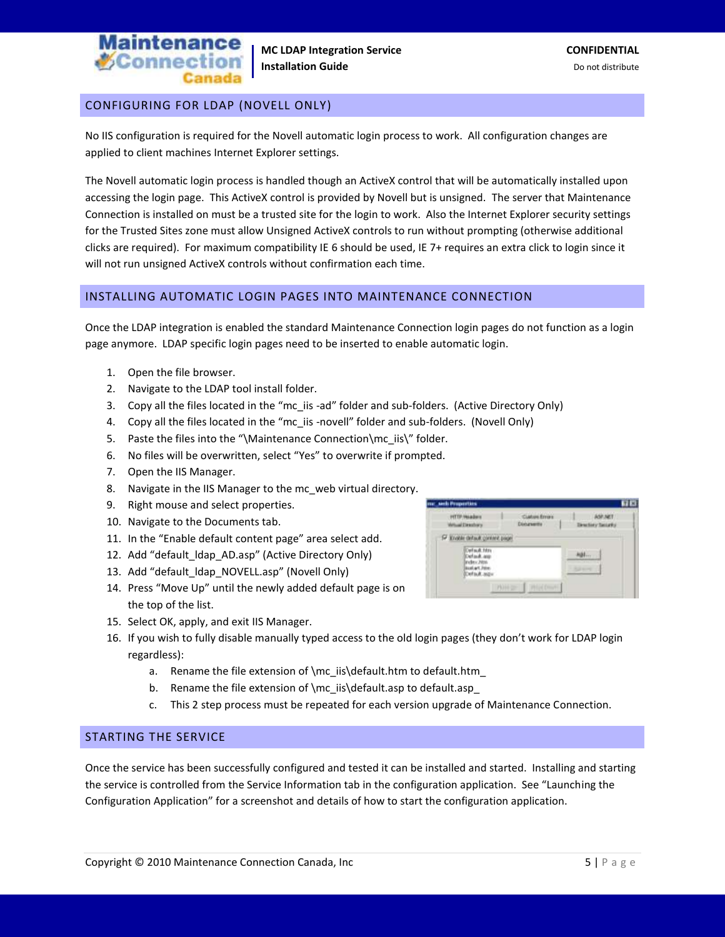

#### <span id="page-4-0"></span>CONFIGURING FOR LDAP (NOVELL ONLY)

No IIS configuration is required for the Novell automatic login process to work. All configuration changes are applied to client machines Internet Explorer settings.

The Novell automatic login process is handled though an ActiveX control that will be automatically installed upon accessing the login page. This ActiveX control is provided by Novell but is unsigned. The server that Maintenance Connection is installed on must be a trusted site for the login to work. Also the Internet Explorer security settings for the Trusted Sites zone must allow Unsigned ActiveX controls to run without prompting (otherwise additional clicks are required). For maximum compatibility IE 6 should be used, IE 7+ requires an extra click to login since it will not run unsigned ActiveX controls without confirmation each time.

#### <span id="page-4-1"></span>INSTALLING AUTOMATIC LOGIN PAGES INTO MAINTENANCE CONNECTION

Once the LDAP integration is enabled the standard Maintenance Connection login pages do not function as a login page anymore. LDAP specific login pages need to be inserted to enable automatic login.

- 1. Open the file browser.
- 2. Navigate to the LDAP tool install folder.
- 3. Copy all the files located in the "mc\_iis -ad" folder and sub-folders. (Active Directory Only)
- 4. Copy all the files located in the "mc\_iis -novell" folder and sub-folders. (Novell Only)
- 5. Paste the files into the "\Maintenance Connection\mc\_iis\" folder.
- 6. No files will be overwritten, select "Yes" to overwrite if prompted.
- 7. Open the IIS Manager.
- 8. Navigate in the IIS Manager to the mc\_web virtual directory.
- 9. Right mouse and select properties.
- 10. Navigate to the Documents tab.
- 11. In the "Enable default content page" area select add.
- 12. Add "default Idap AD.asp" (Active Directory Only)
- 13. Add "default\_ldap\_NOVELL.asp" (Novell Only)
- 14. Press "Move Up" until the newly added default page is on the top of the list.
- 15. Select OK, apply, and exit IIS Manager.
- 16. If you wish to fully disable manually typed access to the old login pages (they don't work for LDAP login regardless):
	- a. Rename the file extension of \mc\_iis\default.htm to default.htm
	- b. Rename the file extension of \mc\_iis\default.asp to default.asp\_
	- c. This 2 step process must be repeated for each version upgrade of Maintenance Connection.

#### <span id="page-4-2"></span>STARTING THE SERVICE

Once the service has been successfully configured and tested it can be installed and started. Installing and starting the service is controlled from the Service Information tab in the configuration application. See "Launching the Configuration Application" for a screenshot and details of how to start the configuration application.

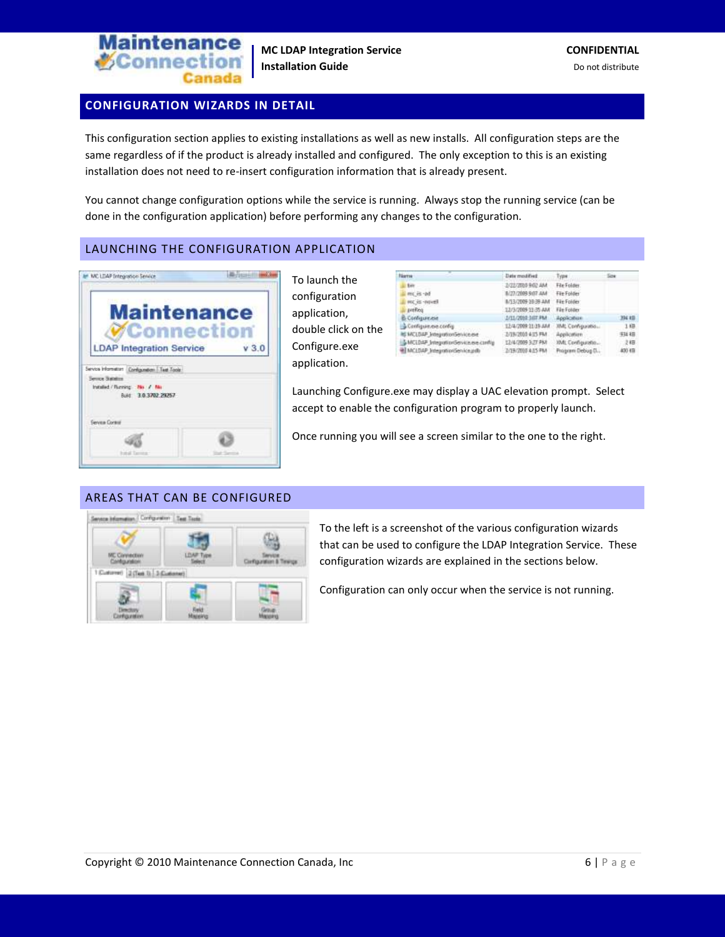

# <span id="page-5-0"></span>**CONFIGURATION WIZARDS IN DETAIL**

This configuration section applies to existing installations as well as new installs. All configuration steps are the same regardless of if the product is already installed and configured. The only exception to this is an existing installation does not need to re-insert configuration information that is already present.

You cannot change configuration options while the service is running. Always stop the running service (can be done in the configuration application) before performing any changes to the configuration.

#### <span id="page-5-1"></span>LAUNCHING THE CONFIGURATION APPLICATION

| <b>Maintenance</b>                                                   |      |
|----------------------------------------------------------------------|------|
| Connectio                                                            |      |
| <b>LDAP Integration Service</b>                                      | V3.0 |
|                                                                      |      |
| Service Information Combiguration   Test Tools<br>Service Statelling |      |
| Installed / Flunning: Play / Film                                    |      |
| Built 3.0.3702.29257                                                 |      |
|                                                                      |      |
| <b>Serves Corant</b>                                                 |      |
|                                                                      |      |
|                                                                      |      |

To launch the configuration application, double click on the Configure.exe application.

| <b>Name</b>                             | Data modified:                 | Type:             | Sow     |
|-----------------------------------------|--------------------------------|-------------------|---------|
| <b>Batt</b>                             | 3/22/2005 9:02 AM              | File Folder:      |         |
| mic is -ad                              | 8/27/2009 9:07 AM              | File Folder       |         |
| me is noted                             | 8/13/2009 10:39 AM             | File Folder       |         |
| prefica                                 | 12/3/2009 11:35 AM File Folder |                   |         |
| <b>B</b> Configure ese                  | - 1/11/2010 3007 PM            | Application       | 394 KB  |
| Configure.exe.config.                   | 12/4/2009 11:05:4M             | XML Configuration | 1 横     |
| <b>IS MCLOAP IntegrationService.exe</b> | -3/19/2000 4/15 PM             | Application       | 我组      |
| MCLD4P IntegratorGevice.ex.com/g        | 12/4/2009 3:27 PM              | XML Configuratio  | 之相      |
| all MCLDAP IntegrationService.pdb       | 2/19/2005 4:15 PM              | Program Debug D., | A30 4TH |

Launching Configure.exe may display a UAC elevation prompt. Select accept to enable the configuration program to properly launch.

Once running you will see a screen similar to the one to the right.

#### <span id="page-5-2"></span>AREAS THAT CAN BE CONFIGURED



To the left is a screenshot of the various configuration wizards that can be used to configure the LDAP Integration Service. These configuration wizards are explained in the sections below.

Configuration can only occur when the service is not running.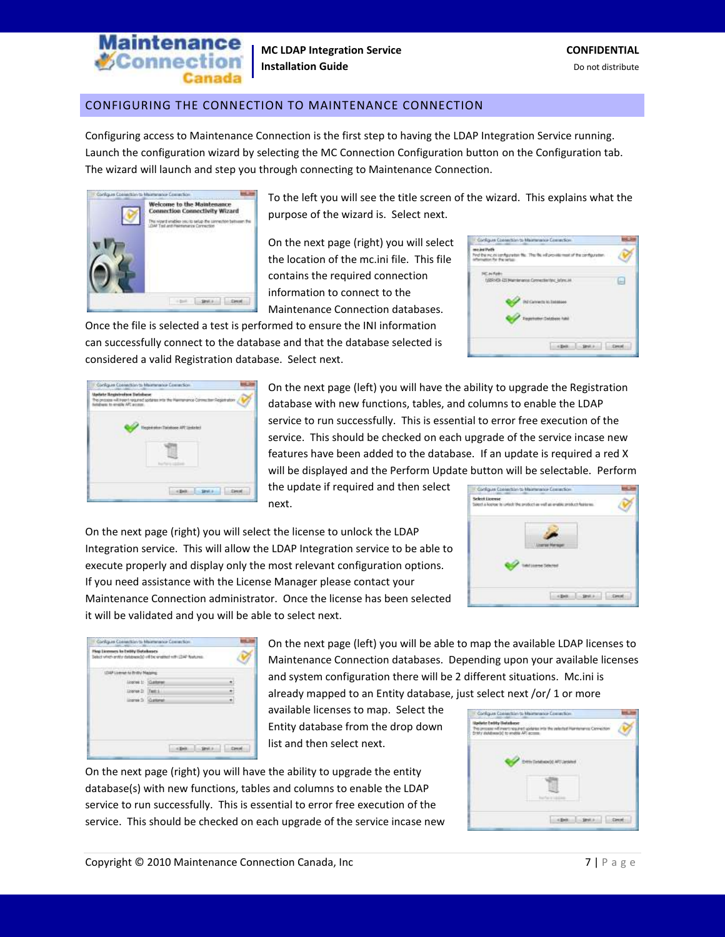

### <span id="page-6-0"></span>CONFIGURING THE CONNECTION TO MAINTENANCE CONNECTION

Configuring access to Maintenance Connection is the first step to having the LDAP Integration Service running. Launch the configuration wizard by selecting the MC Connection Configuration button on the Configuration tab. The wizard will launch and step you through connecting to Maintenance Connection.



To the left you will see the title screen of the wizard. This explains what the purpose of the wizard is. Select next.

On the next page (right) you will select the location of the mc.ini file. This file contains the required connection information to connect to the Maintenance Connection databases.

Once the file is selected a test is performed to ensure the INI information can successfully connect to the database and that the database selected is considered a valid Registration database. Select next.

| Configure Consection to Maintenance Competices                                                                       |   |
|----------------------------------------------------------------------------------------------------------------------|---|
| mount Path<br>Find the recent configuration that This file will provide most of the config<br>famaton for the orbar- |   |
| USEND 43 Mantenance Connectiontex, Johnson                                                                           | ۰ |
| M Camera is better                                                                                                   |   |
| <b>Expertation Detabase has</b>                                                                                      |   |
|                                                                                                                      |   |

| isitate liegistration Database<br>obben to engin APL accept. | www.com<br>helps comes will transfer progress and spokes with the fi- |
|--------------------------------------------------------------|-----------------------------------------------------------------------|
|                                                              | <b>André Marie Thérèsie Al</b>                                        |
|                                                              |                                                                       |
|                                                              |                                                                       |

On the next page (left) you will have the ability to upgrade the Registration database with new functions, tables, and columns to enable the LDAP service to run successfully. This is essential to error free execution of the service. This should be checked on each upgrade of the service incase new features have been added to the database. If an update is required a red X will be displayed and the Perform Update button will be selectable. Perform

the update if required and then select next.



On the next page (right) you will select the license to unlock the LDAP Integration service. This will allow the LDAP Integration service to be able to execute properly and display only the most relevant configuration options. If you need assistance with the License Manager please contact your Maintenance Connection administrator. Once the license has been selected it will be validated and you will be able to select next.

| License 11 Customer<br>Docum D. Test L.<br>Lingrad 3 Customer | Hep Licenses to Entity Gotakases | belief when antity detabased of the wratted with (244) Natures. |  |
|---------------------------------------------------------------|----------------------------------|-----------------------------------------------------------------|--|
|                                                               |                                  |                                                                 |  |
|                                                               |                                  |                                                                 |  |
|                                                               |                                  |                                                                 |  |
|                                                               |                                  |                                                                 |  |
|                                                               |                                  |                                                                 |  |
|                                                               |                                  |                                                                 |  |
|                                                               |                                  |                                                                 |  |

On the next page (left) you will be able to map the available LDAP licenses to Maintenance Connection databases. Depending upon your available licenses and system configuration there will be 2 different situations. Mc.ini is already mapped to an Entity database, just select next /or/ 1 or more

available licenses to map. Select the Entity database from the drop down list and then select next.

On the next page (right) you will have the ability to upgrade the entity database(s) with new functions, tables and columns to enable the LDAP service to run successfully. This is essential to error free execution of the service. This should be checked on each upgrade of the service incase new

| <b>Apolate Entity Database</b><br>Draty distillerably to english API access. | Processes will ment required updates into the selected Hamiltonian Cennection |  |
|------------------------------------------------------------------------------|-------------------------------------------------------------------------------|--|
|                                                                              |                                                                               |  |
|                                                                              |                                                                               |  |
|                                                                              |                                                                               |  |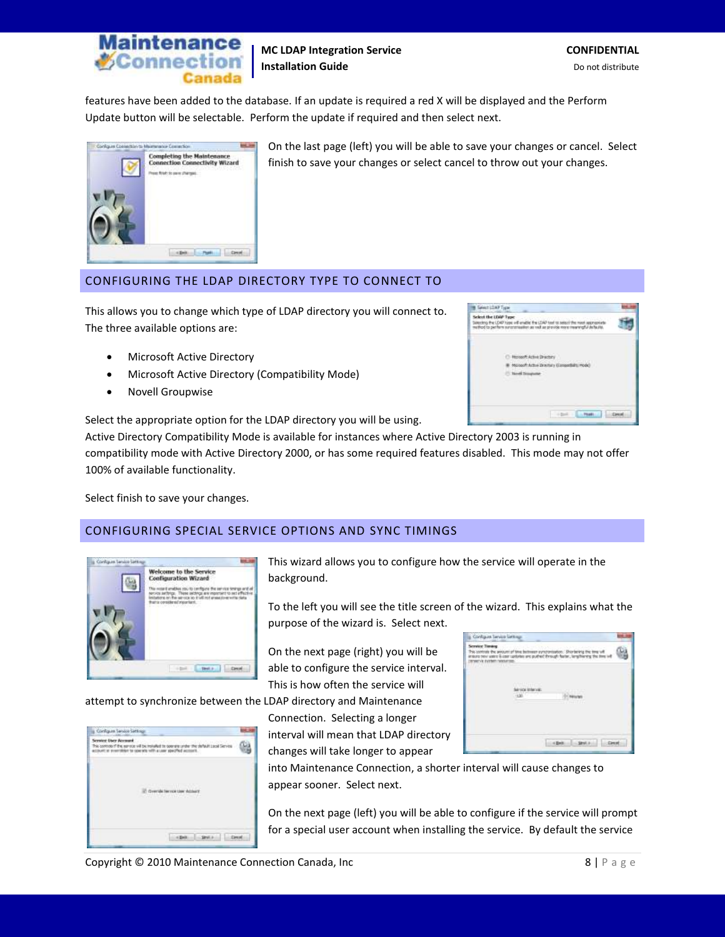

features have been added to the database. If an update is required a red X will be displayed and the Perform Update button will be selectable. Perform the update if required and then select next.



On the last page (left) you will be able to save your changes or cancel. Select finish to save your changes or select cancel to throw out your changes.

#### <span id="page-7-0"></span>CONFIGURING THE LDAP DIRECTORY TYPE TO CONNECT TO

This allows you to change which type of LDAP directory you will connect to. The three available options are:

- Microsoft Active Directory
- Microsoft Active Directory (Compatibility Mode)
- Novell Groupwise

Select the appropriate option for the LDAP directory you will be using.



Active Directory Compatibility Mode is available for instances where Active Directory 2003 is running in compatibility mode with Active Directory 2000, or has some required features disabled. This mode may not offer 100% of available functionality.

Select finish to save your changes.

#### <span id="page-7-1"></span>CONFIGURING SPECIAL SERVICE OPTIONS AND SYNC TIMINGS



attempt to synchronize between the LDAP directory and Maintenance

| Configure Service Sett                                                                                                                                                                                            |  |
|-------------------------------------------------------------------------------------------------------------------------------------------------------------------------------------------------------------------|--|
| Artwitt Local Service<br>his controls of the service will be installed to<br>account at eventable to commit with a user specified account.<br>지역에서 이 가로 사람이 이 가게? 그 아이가 있어? 이 사람은 사람들이 가장 나라 가지 않아 보이지 않아 보이지 않아. |  |
| Chever and State and A Lines<br>The contract of the contract of the                                                                                                                                               |  |
|                                                                                                                                                                                                                   |  |

This wizard allows you to configure how the service will operate in the background.

To the left you will see the title screen of the wizard. This explains what the purpose of the wizard is. Select next.

On the next page (right) you will be able to configure the service interval. This is how often the service will

Connection. Selecting a longer interval will mean that LDAP directory

changes will take longer to appear



into Maintenance Connection, a shorter interval will cause changes to appear sooner. Select next.

On the next page (left) you will be able to configure if the service will prompt for a special user account when installing the service. By default the service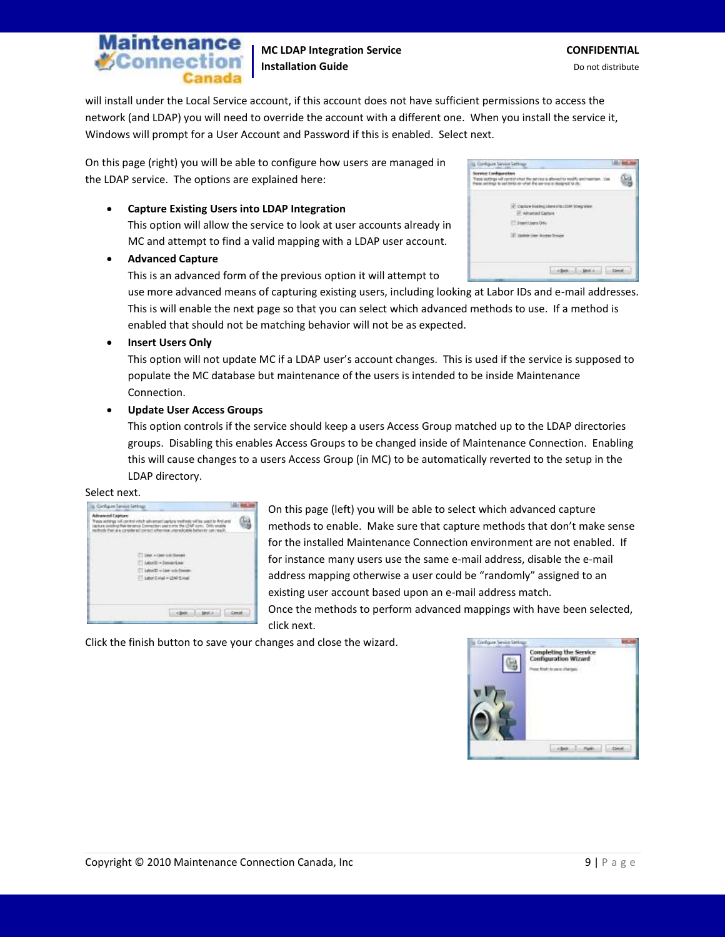# tenance **SConnect**

**MC LDAP Integration Service <b>CONFIDENTIAL Installation Guide Do not distribute Do not distribute** 

will install under the Local Service account, if this account does not have sufficient permissions to access the network (and LDAP) you will need to override the account with a different one. When you install the service it, Windows will prompt for a User Account and Password if this is enabled. Select next.

On this page (right) you will be able to configure how users are managed in the LDAP service. The options are explained here:

#### **Capture Existing Users into LDAP Integration**

This option will allow the service to look at user accounts already in MC and attempt to find a valid mapping with a LDAP user account.

#### **Advanced Capture**

This is an advanced form of the previous option it will attempt to

| Configure Service Service |                                                                                                                       |  |
|---------------------------|-----------------------------------------------------------------------------------------------------------------------|--|
| Service Configuration     | Trest outbrigs will candid what the<br>Use<br>Paint settings to set looks on what the<br>are more of shopped to char- |  |
|                           | Capture Essing Libraria to LtDM Strephone<br>A Administration Countries                                               |  |
|                           | ol 6 5 Suprem Chr                                                                                                     |  |
|                           |                                                                                                                       |  |
|                           |                                                                                                                       |  |
|                           |                                                                                                                       |  |
|                           |                                                                                                                       |  |

use more advanced means of capturing existing users, including looking at Labor IDs and e-mail addresses. This is will enable the next page so that you can select which advanced methods to use. If a method is enabled that should not be matching behavior will not be as expected.

#### **Insert Users Only**

This option will not update MC if a LDAP user's account changes. This is used if the service is supposed to populate the MC database but maintenance of the users is intended to be inside Maintenance Connection.

#### **Update User Access Groups**

This option controls if the service should keep a users Access Group matched up to the LDAP directories groups. Disabling this enables Access Groups to be changed inside of Maintenance Connection. Enabling this will cause changes to a users Access Group (in MC) to be automatically reverted to the setup in the LDAP directory.

#### Select next.

| Configure Service Sections                                                                                                                                                                                                             |  |
|----------------------------------------------------------------------------------------------------------------------------------------------------------------------------------------------------------------------------------------|--|
| dvaried Capture committee of<br>11.77<br>work and the lot was that exhibit and was<br>golune desigling Maintenance Commesters were three 1944 annual<br>thoda that are considered connect influences unpredice<br>NEW YORK STATISTICS. |  |
| Deer without colo."<br>Labord: - Immerite<br>Labority where sub-fre-<br>Labor Evital = Litel Evital                                                                                                                                    |  |
|                                                                                                                                                                                                                                        |  |

On this page (left) you will be able to select which advanced capture methods to enable. Make sure that capture methods that don't make sense for the installed Maintenance Connection environment are not enabled. If for instance many users use the same e-mail address, disable the e-mail address mapping otherwise a user could be "randomly" assigned to an existing user account based upon an e-mail address match. Once the methods to perform advanced mappings with have been selected,

click next.



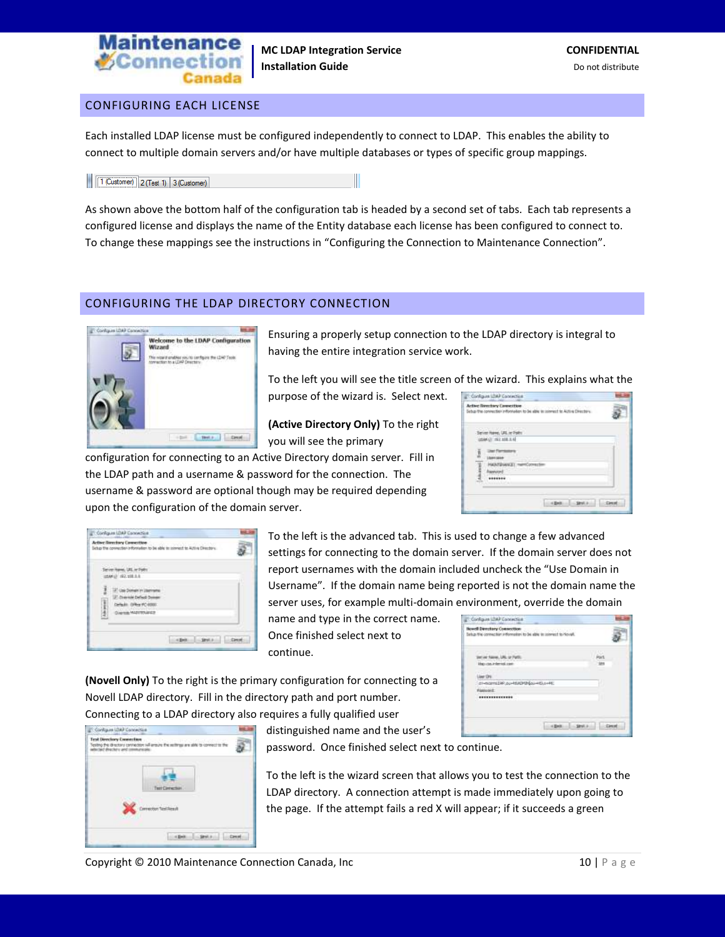

#### <span id="page-9-0"></span>CONFIGURING EACH LICENSE

Each installed LDAP license must be configured independently to connect to LDAP. This enables the ability to connect to multiple domain servers and/or have multiple databases or types of specific group mappings.

1 (Customer) 2 (Test 1) 3 (Customer)

As shown above the bottom half of the configuration tab is headed by a second set of tabs. Each tab represents a configured license and displays the name of the Entity database each license has been configured to connect to. To change these mappings see the instructions in "Configuring the Connection to Maintenance Connection".

#### <span id="page-9-1"></span>CONFIGURING THE LDAP DIRECTORY CONNECTION



Ensuring a properly setup connection to the LDAP directory is integral to having the entire integration service work.

To the left you will see the title screen of the wizard. This explains what the

**(Active Directory Only)** To the right you will see the primary

purpose of the wizard is. Select next.

configuration for connecting to an Active Directory domain server. Fill in the LDAP path and a username & password for the connection. The username & password are optional though may be required depending upon the configuration of the domain server.

| Configure LOAP Connectice                                                                                        |  |
|------------------------------------------------------------------------------------------------------------------|--|
| <b>Active Revolvey Connection</b><br>Schuy the connection information to be able to connect to Active Directory. |  |
| Seven have, UK, or Falls<br>(4585) 197, 198, 1-4                                                                 |  |
| NEM'ENNATI memOpmazim<br>*******                                                                                 |  |
|                                                                                                                  |  |

| <b>Active Riverbury Connection</b><br>Setup the connection information to be able                                                          | .<br>The play is a property to Author Directory |  |
|--------------------------------------------------------------------------------------------------------------------------------------------|-------------------------------------------------|--|
| - Server Harvey, UKL or Polity<br>USAR-UT 192, 198.9.8<br>in Senator and<br><b>Departure Daily</b><br>Ţ<br>DRead Of<br>Dairman MARTTENAKER |                                                 |  |
|                                                                                                                                            |                                                 |  |

To the left is the advanced tab. This is used to change a few advanced settings for connecting to the domain server. If the domain server does not report usernames with the domain included uncheck the "Use Domain in Username". If the domain name being reported is not the domain name the server uses, for example multi-domain environment, override the domain

name and type in the correct name. Once finished select next to continue.

| <b>Howell Directiony Connection</b><br>Setup the connection information to be able to prement to bowll. |  |
|---------------------------------------------------------------------------------------------------------|--|
|                                                                                                         |  |
| <b>Hap can a derival cant</b>                                                                           |  |
| List O's                                                                                                |  |
| 21-NOVED R.O. HIADYBOL-HOLD-RC                                                                          |  |
| <b>HANNAH</b>                                                                                           |  |
| *************<br>and the first part of the property and                                                 |  |
|                                                                                                         |  |

**(Novell Only)** To the right is the primary configuration for connecting to a Novell LDAP directory. Fill in the directory path and port number. Connecting to a LDAP directory also requires a fully qualified user

| Configure LOAP Connectice                                                                                                                                                        |  |
|----------------------------------------------------------------------------------------------------------------------------------------------------------------------------------|--|
| Test Directory Connection<br>Test Directory Convicting<br>Testing the directory connector will ensure the nethrap are able to connect to the<br>bicad directory and communicate. |  |
| TerrCenedian<br><b>Investor Text Result</b>                                                                                                                                      |  |
|                                                                                                                                                                                  |  |

distinguished name and the user's password. Once finished select next to continue.

To the left is the wizard screen that allows you to test the connection to the LDAP directory. A connection attempt is made immediately upon going to the page. If the attempt fails a red X will appear; if it succeeds a green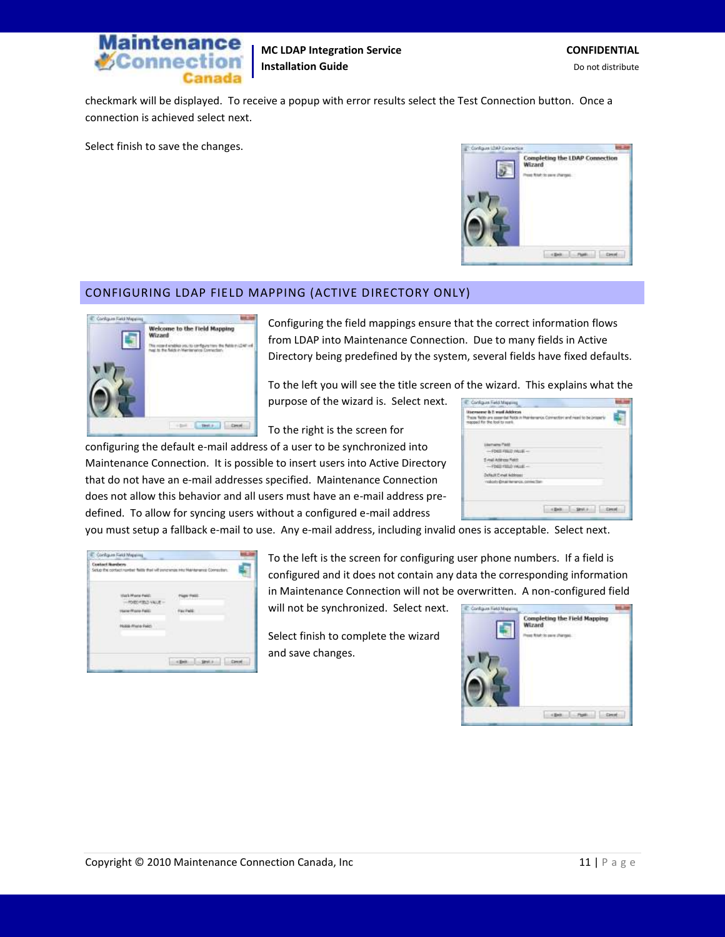

checkmark will be displayed. To receive a popup with error results select the Test Connection button. Once a connection is achieved select next.

Select finish to save the changes.



#### <span id="page-10-0"></span>CONFIGURING LDAP FIELD MAPPING (ACTIVE DIRECTORY ONLY)



Configuring the field mappings ensure that the correct information flows from LDAP into Maintenance Connection. Due to many fields in Active Directory being predefined by the system, several fields have fixed defaults.

To the left you will see the title screen of the wizard. This explains what the purpose of the wizard is. Select next. C. Configure Field Maps

**Iscreene & E real Addr**<br>Pape Nitts are concrete for<br>record for the loot to met.

ni Paté mail Address Field

To the right is the screen for

configuring the default e-mail address of a user to be synchronized into Maintenance Connection. It is possible to insert users into Active Directory that do not have an e-mail addresses specified. Maintenance Connection does not allow this behavior and all users must have an e-mail address predefined. To allow for syncing users without a configured e-mail address

you must setup a fallback e-mail to use. Any e-mail address, including invalid ones is acceptable. Select next.

<span id="page-10-1"></span>

| Configure Feld Mappire                                   |                                                                                                    |
|----------------------------------------------------------|----------------------------------------------------------------------------------------------------|
|                                                          | Contact Numbers<br>Setup the contact runder fails that will perchange into Maritanance Connection. |
| lla's H'ans Feld:<br>FORD FIRED VALUE<br>Hane Phone Paid | <b>Factive</b>                                                                                     |
|                                                          |                                                                                                    |

To the left is the screen for configuring user phone numbers. If a field is configured and it does not contain any data the corresponding information in Maintenance Connection will not be overwritten. A non-configured field

will not be synchronized. Select next.

Select finish to complete the wizard and save changes.

| Configure Field Mappi |                                                      |
|-----------------------|------------------------------------------------------|
|                       | <b>Completing the Field Mapping</b><br>922<br>Wizard |
|                       |                                                      |
|                       |                                                      |

 $-200$   $-200$   $-200$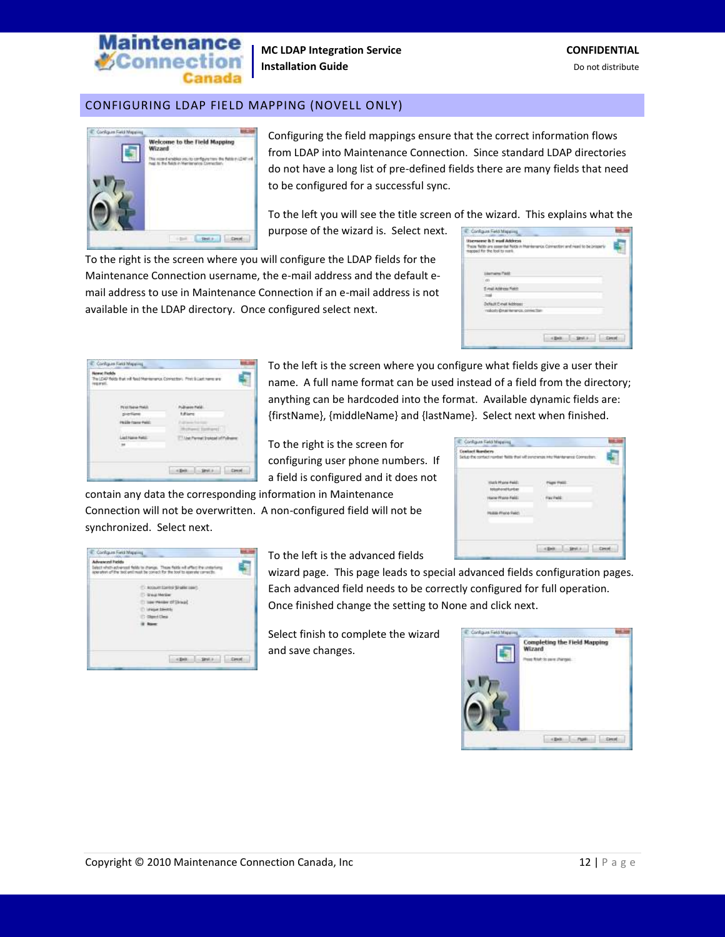

### CONFIGURING LDAP FIELD MAPPING (NOVELL ONLY)



Configuring the field mappings ensure that the correct information flows from LDAP into Maintenance Connection. Since standard LDAP directories do not have a long list of pre-defined fields there are many fields that need to be configured for a successful sync.

To the left you will see the title screen of the wizard. This explains what the purpose of the wizard is. Select next.

To the right is the screen where you will configure the LDAP fields for the Maintenance Connection username, the e-mail address and the default email address to use in Maintenance Connection if an e-mail address is not available in the LDAP directory. Once configured select next.

| Configure Feld Maps                                                                                                                    |  |
|----------------------------------------------------------------------------------------------------------------------------------------|--|
| sensorse is it must Address<br>fields are speer but fields in their earner Connection and nearl to be on<br>specific the fool to meet. |  |
|                                                                                                                                        |  |
|                                                                                                                                        |  |
| Address Field:                                                                                                                         |  |
|                                                                                                                                        |  |
| Default Cinet Address:                                                                                                                 |  |
| visitoris @nacherance.com/ectar                                                                                                        |  |
|                                                                                                                                        |  |
|                                                                                                                                        |  |
|                                                                                                                                        |  |
|                                                                                                                                        |  |

| 100703             |             |
|--------------------|-------------|
| Heille frame Paid: |             |
| π                  | <b>Banc</b> |

To the left is the screen where you configure what fields give a user their name. A full name format can be used instead of a field from the directory; anything can be hardcoded into the format. Available dynamic fields are: {firstName}, {middleName} and {lastName}. Select next when finished.

To the right is the screen for configuring user phone numbers. If a field is configured and it does not

contain any data the corresponding information in Maintenance Connection will not be overwritten. A non-configured field will not be synchronized. Select next.

| Contact Numbers<br>Selup the contact runder fails that will perconnan into Maritanance Connection. |  |
|----------------------------------------------------------------------------------------------------|--|
| turk Wuns Pe<br>telephonettumber                                                                   |  |
| Hane Rane Fald                                                                                     |  |
| <b>Hudge Phone For</b>                                                                             |  |
|                                                                                                    |  |
|                                                                                                    |  |

<span id="page-11-0"></span>

| Configure Feld Mapping |                                                                                                                                                                        |
|------------------------|------------------------------------------------------------------------------------------------------------------------------------------------------------------------|
| downered Paciety       | ---<br>letect which advisional fields to change. These fields will affact the units<br>perator of the technological that the correct for the tool to operate carrects. |
|                        | [1 Noticent Elertrol Single Light]                                                                                                                                     |
|                        | 11 Singi Median                                                                                                                                                        |
|                        | [1 lase) Medale (27) Should -                                                                                                                                          |
|                        | T Idrigat Steelile                                                                                                                                                     |
|                        | C: Cleared Class                                                                                                                                                       |
|                        | <b>If Inner</b>                                                                                                                                                        |
|                        |                                                                                                                                                                        |
|                        |                                                                                                                                                                        |
|                        |                                                                                                                                                                        |
|                        |                                                                                                                                                                        |
|                        |                                                                                                                                                                        |

To the left is the advanced fields

wizard page. This page leads to special advanced fields configuration pages. Each advanced field needs to be correctly configured for full operation. Once finished change the setting to None and click next.

Select finish to complete the wizard and save changes.

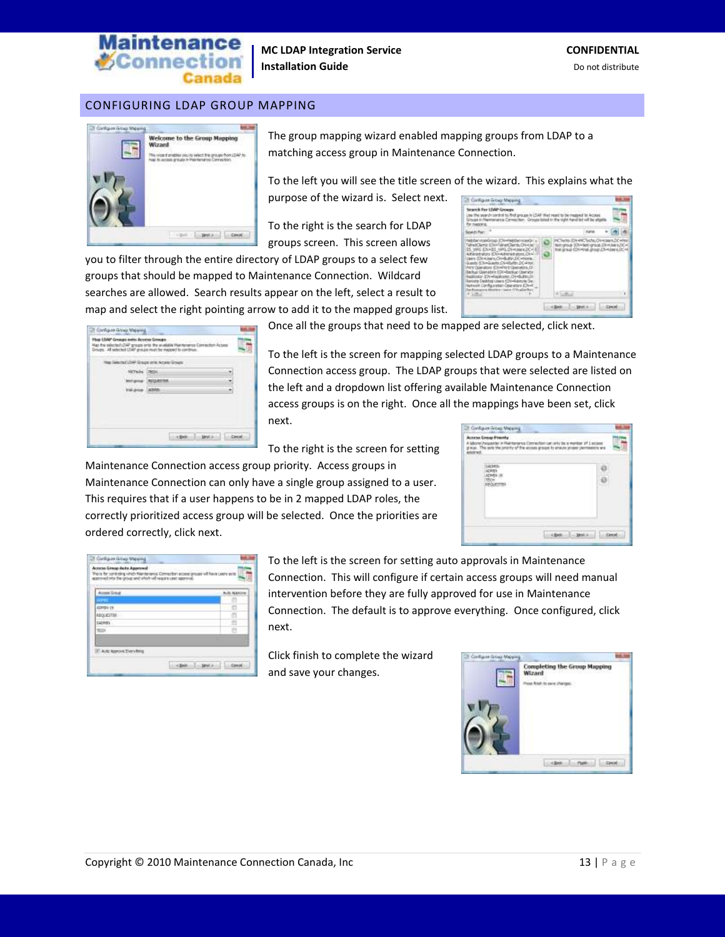

#### CONFIGURING LDAP GROUP MAPPING



The group mapping wizard enabled mapping groups from LDAP to a matching access group in Maintenance Connection.

To the left you will see the title screen of the wizard. This explains what the purpose of the wizard is. Select next.

To the right is the search for LDAP groups screen. This screen allows

you to filter through the entire directory of LDAP groups to a select few groups that should be mapped to Maintenance Connection. Wildcard searches are allowed. Search results appear on the left, select a result to map and select the right pointing arrow to add it to the mapped groups list.

| Configura Grows Mate<br>Search For LDAP Groups<br>Line the search control to fird groups<br><b>IN LTIAR</b><br>Groups tr://takhanania.Cohmocitori. Groups<br><b>THERE'S</b>                                                                                                                                                                                                                                                                                                                                                           | As musical.                                                                                                                          |
|---------------------------------------------------------------------------------------------------------------------------------------------------------------------------------------------------------------------------------------------------------------------------------------------------------------------------------------------------------------------------------------------------------------------------------------------------------------------------------------------------------------------------------------|--------------------------------------------------------------------------------------------------------------------------------------|
| spoke Page                                                                                                                                                                                                                                                                                                                                                                                                                                                                                                                            |                                                                                                                                      |
| htibSathtqaisGroup 3Chi-misipSathiosaGr<br>Tehnet/Terriz (Chi-Falinet/Terris:Oh+the)<br>IS WAS SOVINGS HAND DIVIDINATION III<br>Advantation (Okraidning trates), Ok-<br>Users (O's Hulse's O148UNV.DC-Plonie.)<br>Guido (ClimSupts:ClimBuffs: DC-410)<br>Print Cow abors (Chi-Print Cowrators, D)<br>Bachus Operators (DV+Backup Operator<br>Replicator (OV-Receivator, D1+Bultim D1<br>Renight Dealthps Users 124-Aarhote De-<br>Network Clanforcester: Cale ware (Chr-f)<br>DacKyangers a Monday J Sania (195 allochus)<br>IC SHALL | PETARA (DV-PR)Techs, DV-Users DC-Pho-<br>test-group (Ch = best-group). Els = Use s.DC=1<br>that group (Divisial about Clivianes DC+4 |
|                                                                                                                                                                                                                                                                                                                                                                                                                                                                                                                                       |                                                                                                                                      |

Once all the groups that need to be mapped are selected, click next.

To the left is the screen for mapping selected LDAP groups to a Maintenance Connection access group. The LDAP groups that were selected are listed on the left and a dropdown list offering available Maintenance Connection access groups is on the right. Once all the mappings have been set, click next.

To the right is the screen for setting

Maintenance Connection access group priority. Access groups in Maintenance Connection can only have a single group assigned to a user. This requires that if a user happens to be in 2 mapped LDAP roles, the correctly prioritized access group will be selected. Once the priorities are ordered correctly, click next.

| Access Group Fraunty<br>tarea Carmachon cani<br>bow/heaverler in Har<br>This outs the proofs of the<br>scores image to<br>ma. |  |
|-------------------------------------------------------------------------------------------------------------------------------|--|
|                                                                                                                               |  |
|                                                                                                                               |  |

<span id="page-12-0"></span>

| <b>Actess Group Rate Approval</b><br>This is for condicting which Max<br>approved into the group and which will require case approval.<br>the property of the con-<br>17<br>. | deness Compiler acces groups of have users with |
|-------------------------------------------------------------------------------------------------------------------------------------------------------------------------------|-------------------------------------------------|
| Accuse Sinup                                                                                                                                                                  | LIS ROK                                         |
| ADVIS 419                                                                                                                                                                     |                                                 |
| <b>HEQUESTER</b>                                                                                                                                                              |                                                 |
| taziven                                                                                                                                                                       |                                                 |
| <b>WID1</b>                                                                                                                                                                   |                                                 |
|                                                                                                                                                                               |                                                 |
| IT Auto Approve Every force                                                                                                                                                   |                                                 |
|                                                                                                                                                                               | <b>Link Back</b>                                |

To the left is the screen for setting auto approvals in Maintenance Connection. This will configure if certain access groups will need manual intervention before they are fully approved for use in Maintenance Connection. The default is to approve everything. Once configured, click next.

Click finish to complete the wizard and save your changes.